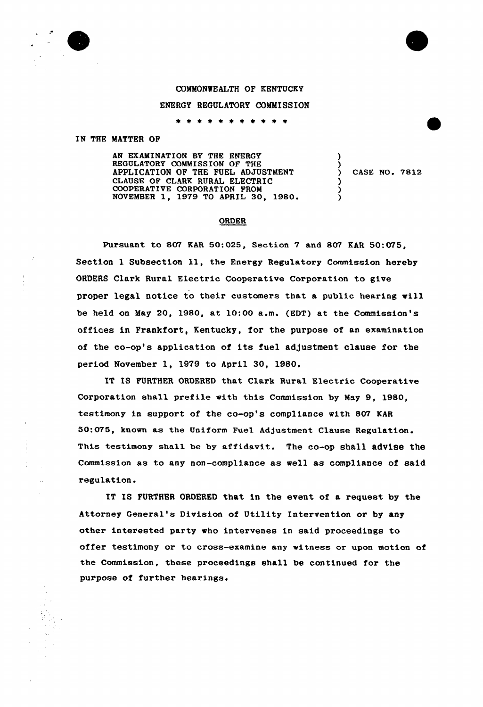## COMMONWEALTH OF KENTUCKY

## ENERGY REGULATORY COMMISSION

\* \* \* \* \* \* \* \* \*

## IN THE MATTER OP

AN EXAMINATION BY THE ENERGY REGULATORY COMMISSION OF THE APPLICATION OP THE FUEL ADJUSTMENT CLAUSE OF CLARK RURAL ELECTRIC COOPERATIVE CORPORATION PROM NOVEMBER 1, 1979 TQ APRIL 30, 1980.

) CASE NO. 7812

) )<br>)

) ) )

## ORDER

Pursuant to 807 KAR 50:025, Section 7 and 807 KAR 50:075, Section 1 Subsection 11, the Energy Regulatory Commission hereby ORDERS Clark Rural Electric Cooperative Corporation to give proper legal notice to their customers that a public hearing vill be held on May 20, 1980, at 10:00 a.m. (EDT) at the Commissian's offices in Frankfort, Kentucky, for the purpose of an examination of the co-op's application of its fuel ad)ustment clause for the periad Navember 1, 1979 to April 30, 1980.

IT IS FURTHER ORDERED that Clark Rural Electric Cooperative Corporation shall prefile with this Commission by May 9, 1980, testimony in support of the co-op's compliance with 807 KAR 50:075, known as the Uniform Fuel Adjustment Clause Regulatian. This testimony shall be by affidavit. The co-op shall advise the Commission as to any non-compliance as sell as compliance of said regulation.

IT IS FURTHER ORDERED that in the event of a request by the Attorney General's Division of Utility Intervention or by any other interested party «ho intervenes in said proceedings to offer testimony or to cross-examine any vitnese or upon motion of the Commission, these proceedings shall be continued for the purpose of further hearings.